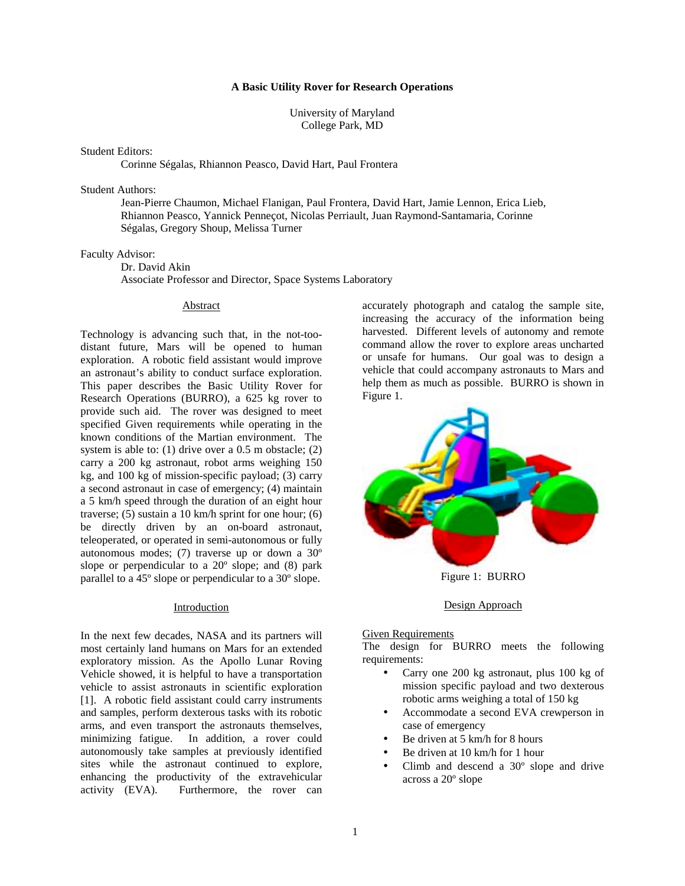## **A Basic Utility Rover for Research Operations**

University of Maryland College Park, MD

#### Student Editors:

Corinne Ségalas, Rhiannon Peasco, David Hart, Paul Frontera

## Student Authors:

 Jean-Pierre Chaumon, Michael Flanigan, Paul Frontera, David Hart, Jamie Lennon, Erica Lieb, Rhiannon Peasco, Yannick Penneçot, Nicolas Perriault, Juan Raymond-Santamaria, Corinne Ségalas, Gregory Shoup, Melissa Turner

#### Faculty Advisor:

Dr. David Akin

Associate Professor and Director, Space Systems Laboratory

#### Abstract

Technology is advancing such that, in the not-toodistant future, Mars will be opened to human exploration. A robotic field assistant would improve an astronaut's ability to conduct surface exploration. This paper describes the Basic Utility Rover for Research Operations (BURRO), a 625 kg rover to provide such aid. The rover was designed to meet specified Given requirements while operating in the known conditions of the Martian environment. The system is able to: (1) drive over a 0.5 m obstacle; (2) carry a 200 kg astronaut, robot arms weighing 150 kg, and 100 kg of mission-specific payload; (3) carry a second astronaut in case of emergency; (4) maintain a 5 km/h speed through the duration of an eight hour traverse; (5) sustain a 10 km/h sprint for one hour; (6) be directly driven by an on-board astronaut, teleoperated, or operated in semi-autonomous or fully autonomous modes; (7) traverse up or down a 30º slope or perpendicular to a  $20^{\circ}$  slope; and (8) park parallel to a 45º slope or perpendicular to a 30º slope.

#### Introduction

In the next few decades, NASA and its partners will most certainly land humans on Mars for an extended exploratory mission. As the Apollo Lunar Roving Vehicle showed, it is helpful to have a transportation vehicle to assist astronauts in scientific exploration [1]. A robotic field assistant could carry instruments and samples, perform dexterous tasks with its robotic arms, and even transport the astronauts themselves, minimizing fatigue. In addition, a rover could autonomously take samples at previously identified sites while the astronaut continued to explore, enhancing the productivity of the extravehicular activity (EVA). Furthermore, the rover can

accurately photograph and catalog the sample site, increasing the accuracy of the information being harvested. Different levels of autonomy and remote command allow the rover to explore areas uncharted or unsafe for humans. Our goal was to design a vehicle that could accompany astronauts to Mars and help them as much as possible. BURRO is shown in Figure 1.



Figure 1: BURRO

#### Design Approach

#### **Given Requirements**

The design for BURRO meets the following requirements:

- Carry one 200 kg astronaut, plus 100 kg of mission specific payload and two dexterous robotic arms weighing a total of 150 kg
- Accommodate a second EVA crewperson in case of emergency
- Be driven at 5 km/h for 8 hours
- Be driven at 10 km/h for 1 hour
- Climb and descend a 30º slope and drive across a 20º slope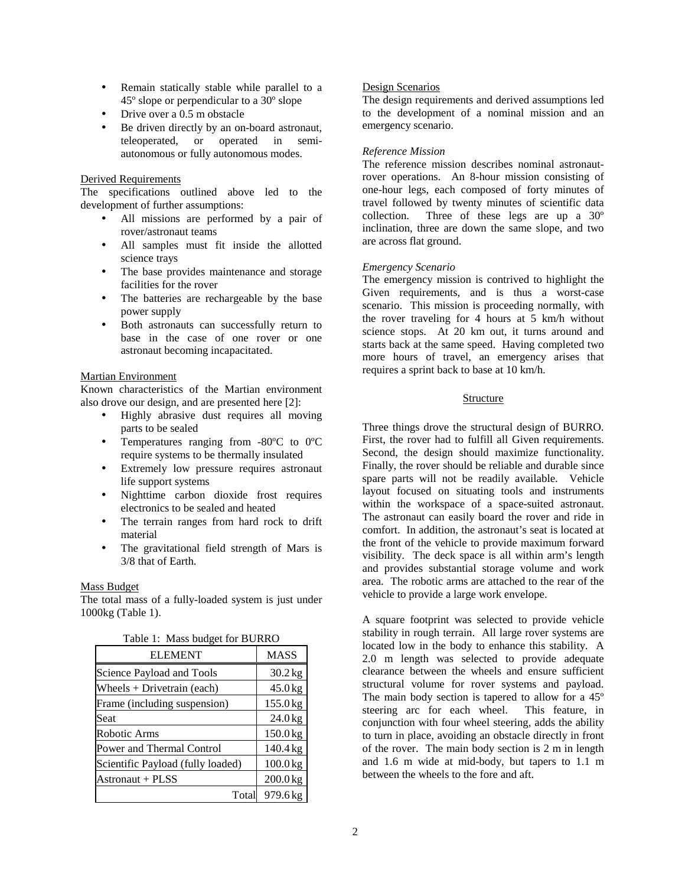- Remain statically stable while parallel to a 45º slope or perpendicular to a 30º slope
- Drive over a 0.5 m obstacle
- Be driven directly by an on-board astronaut, teleoperated, or operated in semiautonomous or fully autonomous modes.

## Derived Requirements

The specifications outlined above led to the development of further assumptions:

- All missions are performed by a pair of rover/astronaut teams
- All samples must fit inside the allotted science trays
- The base provides maintenance and storage facilities for the rover
- The batteries are rechargeable by the base power supply
- Both astronauts can successfully return to base in the case of one rover or one astronaut becoming incapacitated.

## Martian Environment

Known characteristics of the Martian environment also drove our design, and are presented here [2]:

- Highly abrasive dust requires all moving parts to be sealed
- Temperatures ranging from -80ºC to 0ºC require systems to be thermally insulated
- Extremely low pressure requires astronaut life support systems
- Nighttime carbon dioxide frost requires electronics to be sealed and heated
- The terrain ranges from hard rock to drift material
- The gravitational field strength of Mars is 3/8 that of Earth.

## Mass Budget

The total mass of a fully-loaded system is just under 1000kg (Table 1).

| <b>ELEMENT</b>                    | <b>MASS</b> |
|-----------------------------------|-------------|
| Science Payload and Tools         | $30.2$ kg   |
| Wheels $+$ Drivetrain (each)      | $45.0$ kg   |
| Frame (including suspension)      | 155.0 kg    |
| Seat                              | $24.0$ kg   |
| Robotic Arms                      | 150.0 kg    |
| Power and Thermal Control         | 140.4 kg    |
| Scientific Payload (fully loaded) | $100.0$ kg  |
| Astronaut + PLSS                  | 200.0 kg    |
| Total                             | 979.6 kg    |

#### Table 1: Mass budget for BURRO

## Design Scenarios

The design requirements and derived assumptions led to the development of a nominal mission and an emergency scenario.

## *Reference Mission*

The reference mission describes nominal astronautrover operations. An 8-hour mission consisting of one-hour legs, each composed of forty minutes of travel followed by twenty minutes of scientific data collection. Three of these legs are up a 30º inclination, three are down the same slope, and two are across flat ground.

## *Emergency Scenario*

The emergency mission is contrived to highlight the Given requirements, and is thus a worst-case scenario. This mission is proceeding normally, with the rover traveling for 4 hours at 5 km/h without science stops. At 20 km out, it turns around and starts back at the same speed. Having completed two more hours of travel, an emergency arises that requires a sprint back to base at 10 km/h.

## Structure

Three things drove the structural design of BURRO. First, the rover had to fulfill all Given requirements. Second, the design should maximize functionality. Finally, the rover should be reliable and durable since spare parts will not be readily available. Vehicle layout focused on situating tools and instruments within the workspace of a space-suited astronaut. The astronaut can easily board the rover and ride in comfort. In addition, the astronaut's seat is located at the front of the vehicle to provide maximum forward visibility. The deck space is all within arm's length and provides substantial storage volume and work area. The robotic arms are attached to the rear of the vehicle to provide a large work envelope.

A square footprint was selected to provide vehicle stability in rough terrain. All large rover systems are located low in the body to enhance this stability. A 2.0 m length was selected to provide adequate clearance between the wheels and ensure sufficient structural volume for rover systems and payload. The main body section is tapered to allow for a 45º steering arc for each wheel. This feature, in conjunction with four wheel steering, adds the ability to turn in place, avoiding an obstacle directly in front of the rover. The main body section is 2 m in length and 1.6 m wide at mid-body, but tapers to 1.1 m between the wheels to the fore and aft.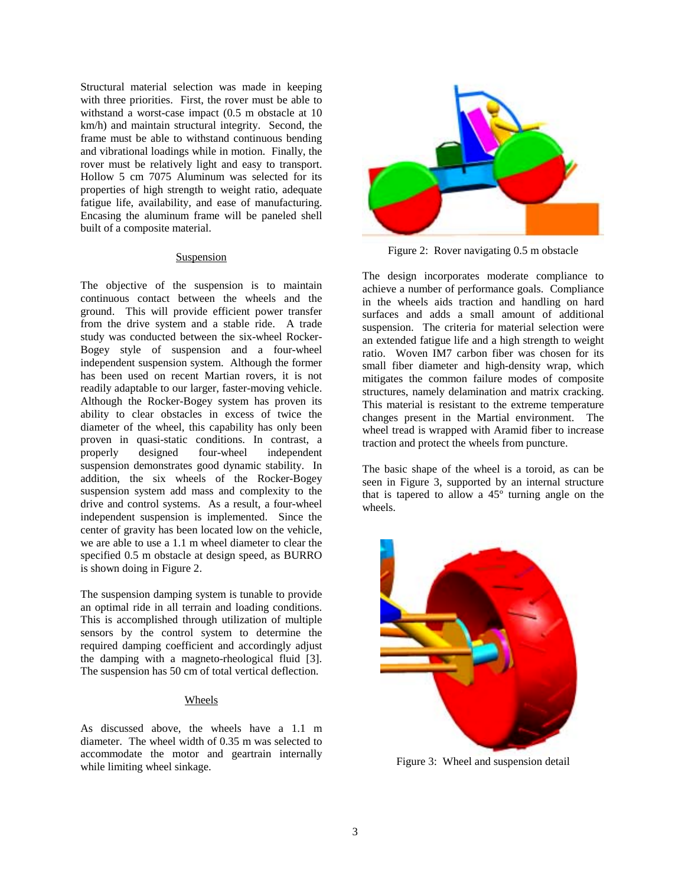Structural material selection was made in keeping with three priorities. First, the rover must be able to withstand a worst-case impact (0.5 m obstacle at 10 km/h) and maintain structural integrity. Second, the frame must be able to withstand continuous bending and vibrational loadings while in motion. Finally, the rover must be relatively light and easy to transport. Hollow 5 cm 7075 Aluminum was selected for its properties of high strength to weight ratio, adequate fatigue life, availability, and ease of manufacturing. Encasing the aluminum frame will be paneled shell built of a composite material.

## Suspension

The objective of the suspension is to maintain continuous contact between the wheels and the ground. This will provide efficient power transfer from the drive system and a stable ride. A trade study was conducted between the six-wheel Rocker-Bogey style of suspension and a four-wheel independent suspension system. Although the former has been used on recent Martian rovers, it is not readily adaptable to our larger, faster-moving vehicle. Although the Rocker-Bogey system has proven its ability to clear obstacles in excess of twice the diameter of the wheel, this capability has only been proven in quasi-static conditions. In contrast, a properly designed four-wheel independent suspension demonstrates good dynamic stability. In addition, the six wheels of the Rocker-Bogey suspension system add mass and complexity to the drive and control systems. As a result, a four-wheel independent suspension is implemented. Since the center of gravity has been located low on the vehicle, we are able to use a 1.1 m wheel diameter to clear the specified 0.5 m obstacle at design speed, as BURRO is shown doing in Figure 2.

The suspension damping system is tunable to provide an optimal ride in all terrain and loading conditions. This is accomplished through utilization of multiple sensors by the control system to determine the required damping coefficient and accordingly adjust the damping with a magneto-rheological fluid [3]. The suspension has 50 cm of total vertical deflection.

## Wheels

As discussed above, the wheels have a 1.1 m diameter. The wheel width of 0.35 m was selected to accommodate the motor and geartrain internally while limiting wheel sinkage.



Figure 2: Rover navigating 0.5 m obstacle

The design incorporates moderate compliance to achieve a number of performance goals. Compliance in the wheels aids traction and handling on hard surfaces and adds a small amount of additional suspension. The criteria for material selection were an extended fatigue life and a high strength to weight ratio. Woven IM7 carbon fiber was chosen for its small fiber diameter and high-density wrap, which mitigates the common failure modes of composite structures, namely delamination and matrix cracking. This material is resistant to the extreme temperature changes present in the Martial environment. The wheel tread is wrapped with Aramid fiber to increase traction and protect the wheels from puncture.

The basic shape of the wheel is a toroid, as can be seen in Figure 3, supported by an internal structure that is tapered to allow a  $45^\circ$  turning angle on the wheels.



Figure 3: Wheel and suspension detail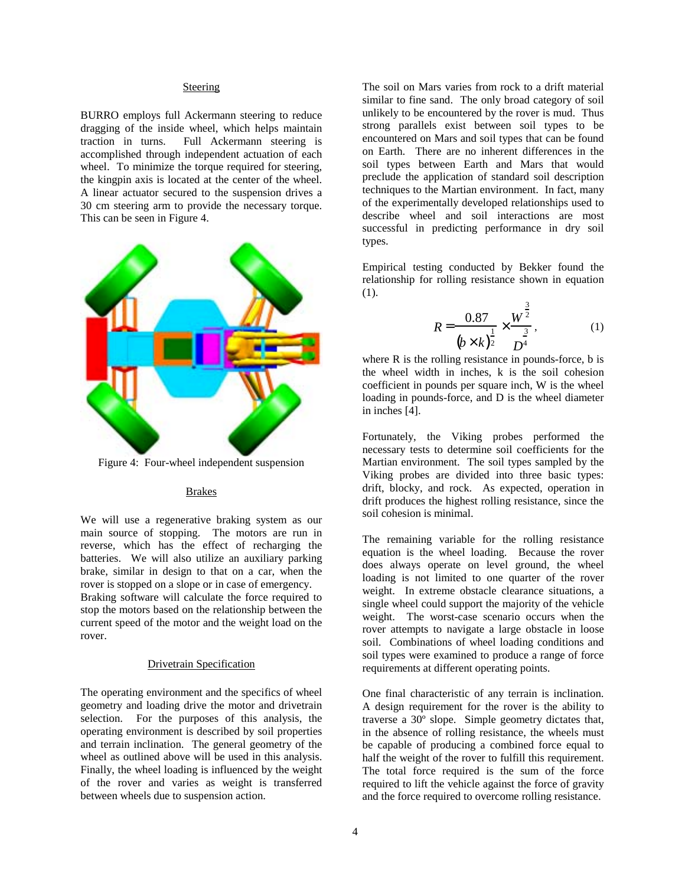### **Steering**

BURRO employs full Ackermann steering to reduce dragging of the inside wheel, which helps maintain traction in turns. Full Ackermann steering is accomplished through independent actuation of each wheel. To minimize the torque required for steering, the kingpin axis is located at the center of the wheel. A linear actuator secured to the suspension drives a 30 cm steering arm to provide the necessary torque. This can be seen in Figure 4.



Figure 4: Four-wheel independent suspension

# Brakes

We will use a regenerative braking system as our main source of stopping. The motors are run in reverse, which has the effect of recharging the batteries. We will also utilize an auxiliary parking brake, similar in design to that on a car, when the rover is stopped on a slope or in case of emergency. Braking software will calculate the force required to stop the motors based on the relationship between the current speed of the motor and the weight load on the rover.

## Drivetrain Specification

The operating environment and the specifics of wheel geometry and loading drive the motor and drivetrain selection. For the purposes of this analysis, the operating environment is described by soil properties and terrain inclination. The general geometry of the wheel as outlined above will be used in this analysis. Finally, the wheel loading is influenced by the weight of the rover and varies as weight is transferred between wheels due to suspension action.

The soil on Mars varies from rock to a drift material similar to fine sand. The only broad category of soil unlikely to be encountered by the rover is mud. Thus strong parallels exist between soil types to be encountered on Mars and soil types that can be found on Earth. There are no inherent differences in the soil types between Earth and Mars that would preclude the application of standard soil description techniques to the Martian environment. In fact, many of the experimentally developed relationships used to describe wheel and soil interactions are most successful in predicting performance in dry soil types.

Empirical testing conducted by Bekker found the relationship for rolling resistance shown in equation (1).

$$
R = \frac{0.87}{(b \times k)^{\frac{1}{2}}} \times \frac{W^{\frac{3}{2}}}{D^{\frac{3}{4}}},
$$
 (1)

where R is the rolling resistance in pounds-force, b is the wheel width in inches, k is the soil cohesion coefficient in pounds per square inch, W is the wheel loading in pounds-force, and D is the wheel diameter in inches [4].

Fortunately, the Viking probes performed the necessary tests to determine soil coefficients for the Martian environment. The soil types sampled by the Viking probes are divided into three basic types: drift, blocky, and rock. As expected, operation in drift produces the highest rolling resistance, since the soil cohesion is minimal.

The remaining variable for the rolling resistance equation is the wheel loading. Because the rover does always operate on level ground, the wheel loading is not limited to one quarter of the rover weight. In extreme obstacle clearance situations, a single wheel could support the majority of the vehicle weight. The worst-case scenario occurs when the rover attempts to navigate a large obstacle in loose soil. Combinations of wheel loading conditions and soil types were examined to produce a range of force requirements at different operating points.

One final characteristic of any terrain is inclination. A design requirement for the rover is the ability to traverse a 30º slope. Simple geometry dictates that, in the absence of rolling resistance, the wheels must be capable of producing a combined force equal to half the weight of the rover to fulfill this requirement. The total force required is the sum of the force required to lift the vehicle against the force of gravity and the force required to overcome rolling resistance.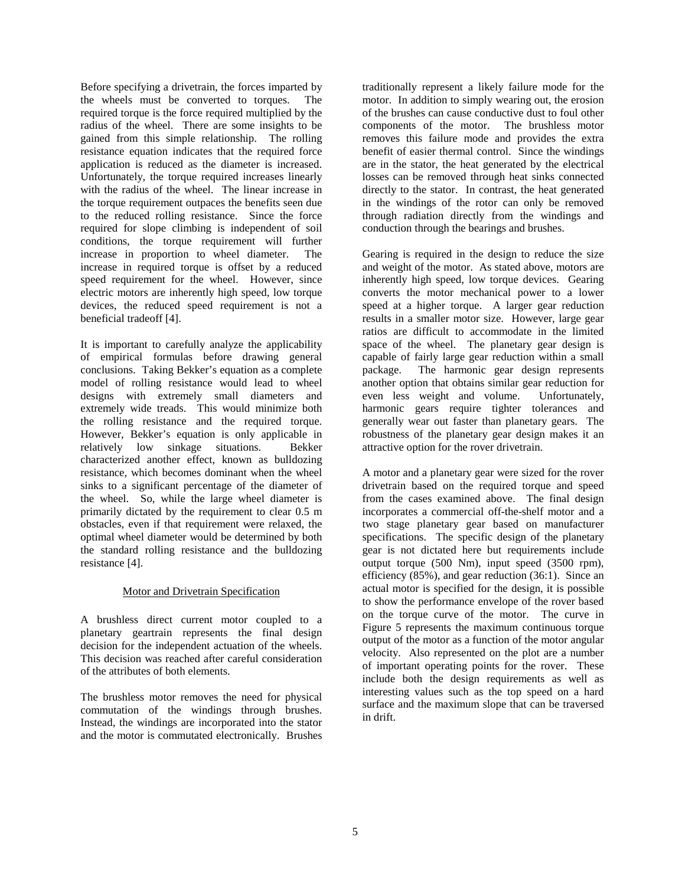Before specifying a drivetrain, the forces imparted by the wheels must be converted to torques. The required torque is the force required multiplied by the radius of the wheel. There are some insights to be gained from this simple relationship. The rolling resistance equation indicates that the required force application is reduced as the diameter is increased. Unfortunately, the torque required increases linearly with the radius of the wheel. The linear increase in the torque requirement outpaces the benefits seen due to the reduced rolling resistance. Since the force required for slope climbing is independent of soil conditions, the torque requirement will further increase in proportion to wheel diameter. The increase in required torque is offset by a reduced speed requirement for the wheel. However, since electric motors are inherently high speed, low torque devices, the reduced speed requirement is not a beneficial tradeoff [4].

It is important to carefully analyze the applicability of empirical formulas before drawing general conclusions. Taking Bekker's equation as a complete model of rolling resistance would lead to wheel designs with extremely small diameters and extremely wide treads. This would minimize both the rolling resistance and the required torque. However, Bekker's equation is only applicable in relatively low sinkage situations. Bekker characterized another effect, known as bulldozing resistance, which becomes dominant when the wheel sinks to a significant percentage of the diameter of the wheel. So, while the large wheel diameter is primarily dictated by the requirement to clear 0.5 m obstacles, even if that requirement were relaxed, the optimal wheel diameter would be determined by both the standard rolling resistance and the bulldozing resistance [4].

# Motor and Drivetrain Specification

A brushless direct current motor coupled to a planetary geartrain represents the final design decision for the independent actuation of the wheels. This decision was reached after careful consideration of the attributes of both elements.

The brushless motor removes the need for physical commutation of the windings through brushes. Instead, the windings are incorporated into the stator and the motor is commutated electronically. Brushes

traditionally represent a likely failure mode for the motor. In addition to simply wearing out, the erosion of the brushes can cause conductive dust to foul other components of the motor. The brushless motor removes this failure mode and provides the extra benefit of easier thermal control. Since the windings are in the stator, the heat generated by the electrical losses can be removed through heat sinks connected directly to the stator. In contrast, the heat generated in the windings of the rotor can only be removed through radiation directly from the windings and conduction through the bearings and brushes.

Gearing is required in the design to reduce the size and weight of the motor. As stated above, motors are inherently high speed, low torque devices. Gearing converts the motor mechanical power to a lower speed at a higher torque. A larger gear reduction results in a smaller motor size. However, large gear ratios are difficult to accommodate in the limited space of the wheel. The planetary gear design is capable of fairly large gear reduction within a small package. The harmonic gear design represents another option that obtains similar gear reduction for even less weight and volume. Unfortunately, harmonic gears require tighter tolerances and generally wear out faster than planetary gears. The robustness of the planetary gear design makes it an attractive option for the rover drivetrain.

A motor and a planetary gear were sized for the rover drivetrain based on the required torque and speed from the cases examined above. The final design incorporates a commercial off-the-shelf motor and a two stage planetary gear based on manufacturer specifications. The specific design of the planetary gear is not dictated here but requirements include output torque (500 Nm), input speed (3500 rpm), efficiency (85%), and gear reduction (36:1). Since an actual motor is specified for the design, it is possible to show the performance envelope of the rover based on the torque curve of the motor. The curve in Figure 5 represents the maximum continuous torque output of the motor as a function of the motor angular velocity. Also represented on the plot are a number of important operating points for the rover. These include both the design requirements as well as interesting values such as the top speed on a hard surface and the maximum slope that can be traversed in drift.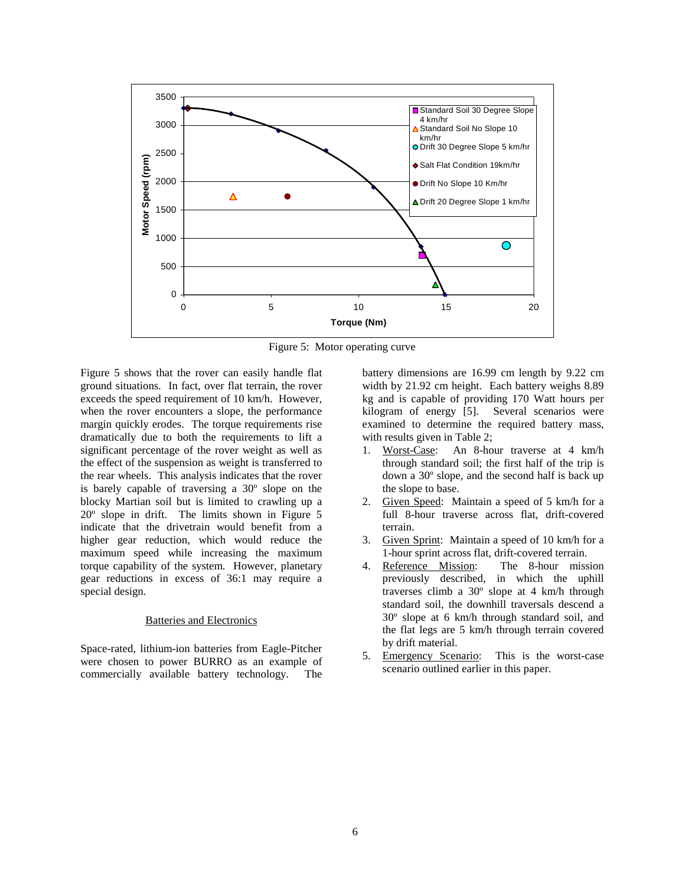

Figure 5: Motor operating curve

Figure 5 shows that the rover can easily handle flat ground situations. In fact, over flat terrain, the rover exceeds the speed requirement of 10 km/h. However, when the rover encounters a slope, the performance margin quickly erodes. The torque requirements rise dramatically due to both the requirements to lift a significant percentage of the rover weight as well as the effect of the suspension as weight is transferred to the rear wheels. This analysis indicates that the rover is barely capable of traversing a 30º slope on the blocky Martian soil but is limited to crawling up a 20º slope in drift. The limits shown in Figure 5 indicate that the drivetrain would benefit from a higher gear reduction, which would reduce the maximum speed while increasing the maximum torque capability of the system. However, planetary gear reductions in excess of 36:1 may require a special design.

# Batteries and Electronics

Space-rated, lithium-ion batteries from Eagle-Pitcher were chosen to power BURRO as an example of commercially available battery technology. The

battery dimensions are 16.99 cm length by 9.22 cm width by 21.92 cm height. Each battery weighs 8.89 kg and is capable of providing 170 Watt hours per kilogram of energy [5]. Several scenarios were examined to determine the required battery mass, with results given in Table 2;

- 1. Worst-Case: An 8-hour traverse at 4 km/h through standard soil; the first half of the trip is down a 30º slope, and the second half is back up the slope to base.
- 2. Given Speed: Maintain a speed of 5 km/h for a full 8-hour traverse across flat, drift-covered terrain.
- 3. Given Sprint: Maintain a speed of 10 km/h for a 1-hour sprint across flat, drift-covered terrain.
- 4. Reference Mission: The 8-hour mission previously described, in which the uphill traverses climb a 30º slope at 4 km/h through standard soil, the downhill traversals descend a 30º slope at 6 km/h through standard soil, and the flat legs are 5 km/h through terrain covered by drift material.
- 5. Emergency Scenario: This is the worst-case scenario outlined earlier in this paper.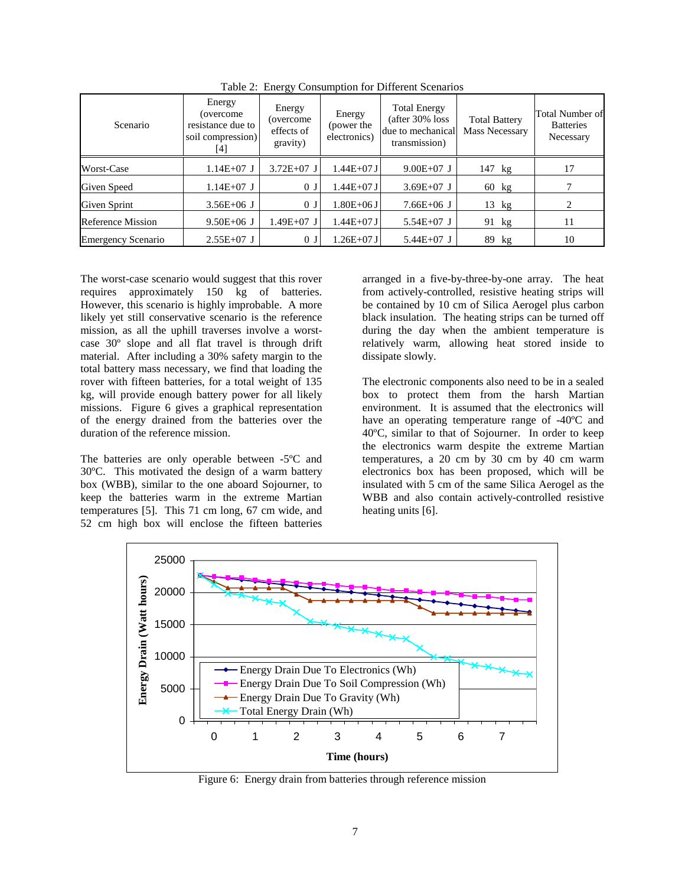| Scenario                  | Energy<br>(overcome)<br>resistance due to<br>soil compression)<br>[4] | Energy<br>(overcome)<br>effects of<br>gravity) | Energy<br>(power the<br>electronics) | <b>Total Energy</b><br>(after 30% loss)<br>due to mechanical<br>transmission) | <b>Total Battery</b><br><b>Mass Necessary</b> | Total Number of<br><b>Batteries</b><br>Necessary |
|---------------------------|-----------------------------------------------------------------------|------------------------------------------------|--------------------------------------|-------------------------------------------------------------------------------|-----------------------------------------------|--------------------------------------------------|
| Worst-Case                | $1.14E+07$ J                                                          | $3.72E+07$ J                                   | 1.44E+07 J                           | $9.00E+07$ J                                                                  | $147$ kg                                      | 17                                               |
| Given Speed               | $1.14E+07$ J                                                          | 0 <sub>J</sub>                                 | 1.44E+07 J                           | $3.69E+07$ J                                                                  | 60 kg                                         |                                                  |
| Given Sprint              | $3.56E + 06$ J                                                        | 0 <sub>J</sub>                                 | 1.80E+06 J                           | $7.66E + 06$ J                                                                | $13$ kg                                       |                                                  |
| <b>Reference Mission</b>  | $9.50E + 06$ J                                                        | 1.49E+07 J                                     | $1.44E+07J$                          | $5.54E+07$ J                                                                  | 91 kg                                         | 11                                               |
| <b>Emergency Scenario</b> | $2.55E+07$ J                                                          | 0 <sub>0</sub>                                 | $1.26E + 07J$                        | $5.44E+07$ J                                                                  | 89 kg                                         | 10                                               |

Table 2: Energy Consumption for Different Scenarios

The worst-case scenario would suggest that this rover requires approximately 150 kg of batteries. However, this scenario is highly improbable. A more likely yet still conservative scenario is the reference mission, as all the uphill traverses involve a worstcase 30º slope and all flat travel is through drift material. After including a 30% safety margin to the total battery mass necessary, we find that loading the rover with fifteen batteries, for a total weight of 135 kg, will provide enough battery power for all likely missions. Figure 6 gives a graphical representation of the energy drained from the batteries over the duration of the reference mission.

The batteries are only operable between -5ºC and 30ºC. This motivated the design of a warm battery box (WBB), similar to the one aboard Sojourner, to keep the batteries warm in the extreme Martian temperatures [5]. This 71 cm long, 67 cm wide, and 52 cm high box will enclose the fifteen batteries

arranged in a five-by-three-by-one array. The heat from actively-controlled, resistive heating strips will be contained by 10 cm of Silica Aerogel plus carbon black insulation. The heating strips can be turned off during the day when the ambient temperature is relatively warm, allowing heat stored inside to dissipate slowly.

The electronic components also need to be in a sealed box to protect them from the harsh Martian environment. It is assumed that the electronics will have an operating temperature range of -40ºC and 40ºC, similar to that of Sojourner. In order to keep the electronics warm despite the extreme Martian temperatures, a 20 cm by 30 cm by 40 cm warm electronics box has been proposed, which will be insulated with 5 cm of the same Silica Aerogel as the WBB and also contain actively-controlled resistive heating units [6].



Figure 6: Energy drain from batteries through reference mission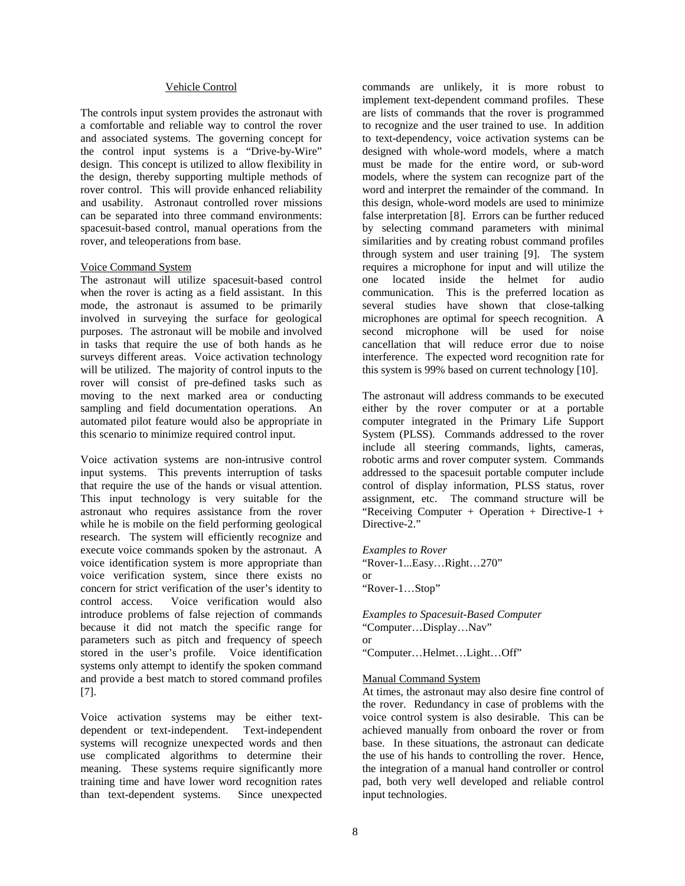## Vehicle Control

The controls input system provides the astronaut with a comfortable and reliable way to control the rover and associated systems. The governing concept for the control input systems is a "Drive-by-Wire" design. This concept is utilized to allow flexibility in the design, thereby supporting multiple methods of rover control. This will provide enhanced reliability and usability. Astronaut controlled rover missions can be separated into three command environments: spacesuit-based control, manual operations from the rover, and teleoperations from base.

### Voice Command System

The astronaut will utilize spacesuit-based control when the rover is acting as a field assistant. In this mode, the astronaut is assumed to be primarily involved in surveying the surface for geological purposes. The astronaut will be mobile and involved in tasks that require the use of both hands as he surveys different areas. Voice activation technology will be utilized. The majority of control inputs to the rover will consist of pre-defined tasks such as moving to the next marked area or conducting sampling and field documentation operations. An automated pilot feature would also be appropriate in this scenario to minimize required control input.

Voice activation systems are non-intrusive control input systems. This prevents interruption of tasks that require the use of the hands or visual attention. This input technology is very suitable for the astronaut who requires assistance from the rover while he is mobile on the field performing geological research. The system will efficiently recognize and execute voice commands spoken by the astronaut. A voice identification system is more appropriate than voice verification system, since there exists no concern for strict verification of the user's identity to control access. Voice verification would also introduce problems of false rejection of commands because it did not match the specific range for parameters such as pitch and frequency of speech stored in the user's profile. Voice identification systems only attempt to identify the spoken command and provide a best match to stored command profiles [7].

Voice activation systems may be either textdependent or text-independent. Text-independent systems will recognize unexpected words and then use complicated algorithms to determine their meaning. These systems require significantly more training time and have lower word recognition rates than text-dependent systems. Since unexpected

commands are unlikely, it is more robust to implement text-dependent command profiles. These are lists of commands that the rover is programmed to recognize and the user trained to use. In addition to text-dependency, voice activation systems can be designed with whole-word models, where a match must be made for the entire word, or sub-word models, where the system can recognize part of the word and interpret the remainder of the command. In this design, whole-word models are used to minimize false interpretation [8]. Errors can be further reduced by selecting command parameters with minimal similarities and by creating robust command profiles through system and user training [9]. The system requires a microphone for input and will utilize the one located inside the helmet for audio communication. This is the preferred location as several studies have shown that close-talking microphones are optimal for speech recognition. A second microphone will be used for noise cancellation that will reduce error due to noise interference. The expected word recognition rate for this system is 99% based on current technology [10].

The astronaut will address commands to be executed either by the rover computer or at a portable computer integrated in the Primary Life Support System (PLSS). Commands addressed to the rover include all steering commands, lights, cameras, robotic arms and rover computer system. Commands addressed to the spacesuit portable computer include control of display information, PLSS status, rover assignment, etc. The command structure will be "Receiving Computer + Operation + Directive-1 + Directive-2."

*Examples to Rover*  "Rover-1...Easy…Right…270" or "Rover-1…Stop"

*Examples to Spacesuit-Based Computer*  "Computer…Display…Nav" or "Computer…Helmet…Light…Off"

#### Manual Command System

At times, the astronaut may also desire fine control of the rover. Redundancy in case of problems with the voice control system is also desirable. This can be achieved manually from onboard the rover or from base. In these situations, the astronaut can dedicate the use of his hands to controlling the rover. Hence, the integration of a manual hand controller or control pad, both very well developed and reliable control input technologies.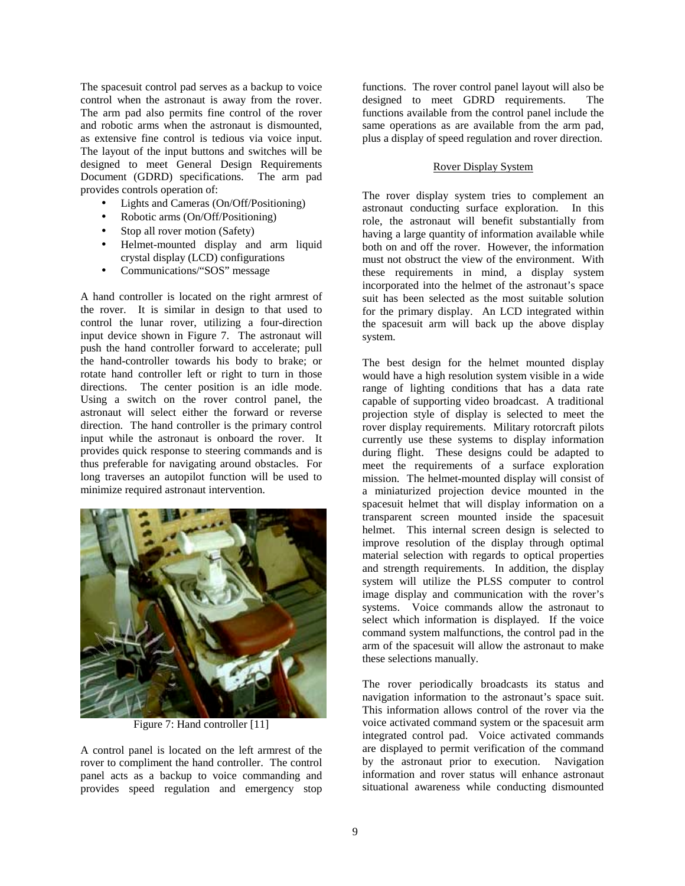The spacesuit control pad serves as a backup to voice control when the astronaut is away from the rover. The arm pad also permits fine control of the rover and robotic arms when the astronaut is dismounted, as extensive fine control is tedious via voice input. The layout of the input buttons and switches will be designed to meet General Design Requirements Document (GDRD) specifications. The arm pad provides controls operation of:

- Lights and Cameras (On/Off/Positioning)
- Robotic arms (On/Off/Positioning)
- Stop all rover motion (Safety)
- Helmet-mounted display and arm liquid crystal display (LCD) configurations
- Communications/"SOS" message

A hand controller is located on the right armrest of the rover. It is similar in design to that used to control the lunar rover, utilizing a four-direction input device shown in Figure 7. The astronaut will push the hand controller forward to accelerate; pull the hand-controller towards his body to brake; or rotate hand controller left or right to turn in those directions. The center position is an idle mode. Using a switch on the rover control panel, the astronaut will select either the forward or reverse direction. The hand controller is the primary control input while the astronaut is onboard the rover. It provides quick response to steering commands and is thus preferable for navigating around obstacles. For long traverses an autopilot function will be used to minimize required astronaut intervention.



Figure 7: Hand controller [11]

A control panel is located on the left armrest of the rover to compliment the hand controller. The control panel acts as a backup to voice commanding and provides speed regulation and emergency stop functions. The rover control panel layout will also be designed to meet GDRD requirements. The functions available from the control panel include the same operations as are available from the arm pad, plus a display of speed regulation and rover direction.

## Rover Display System

The rover display system tries to complement an astronaut conducting surface exploration. In this role, the astronaut will benefit substantially from having a large quantity of information available while both on and off the rover. However, the information must not obstruct the view of the environment. With these requirements in mind, a display system incorporated into the helmet of the astronaut's space suit has been selected as the most suitable solution for the primary display. An LCD integrated within the spacesuit arm will back up the above display system.

The best design for the helmet mounted display would have a high resolution system visible in a wide range of lighting conditions that has a data rate capable of supporting video broadcast. A traditional projection style of display is selected to meet the rover display requirements. Military rotorcraft pilots currently use these systems to display information during flight. These designs could be adapted to meet the requirements of a surface exploration mission. The helmet-mounted display will consist of a miniaturized projection device mounted in the spacesuit helmet that will display information on a transparent screen mounted inside the spacesuit helmet. This internal screen design is selected to improve resolution of the display through optimal material selection with regards to optical properties and strength requirements. In addition, the display system will utilize the PLSS computer to control image display and communication with the rover's systems. Voice commands allow the astronaut to select which information is displayed. If the voice command system malfunctions, the control pad in the arm of the spacesuit will allow the astronaut to make these selections manually.

The rover periodically broadcasts its status and navigation information to the astronaut's space suit. This information allows control of the rover via the voice activated command system or the spacesuit arm integrated control pad. Voice activated commands are displayed to permit verification of the command by the astronaut prior to execution. Navigation information and rover status will enhance astronaut situational awareness while conducting dismounted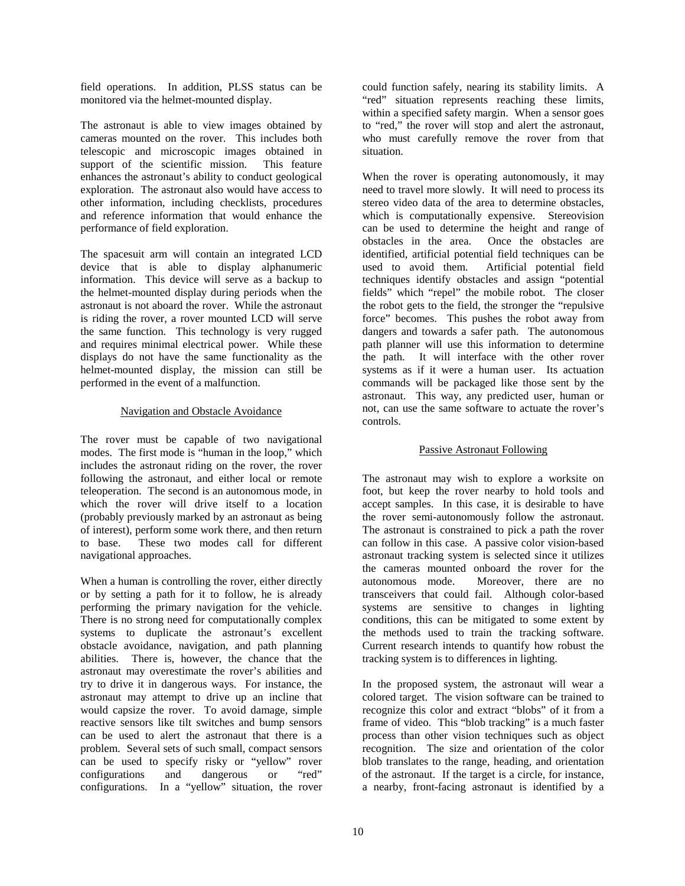field operations. In addition, PLSS status can be monitored via the helmet-mounted display.

The astronaut is able to view images obtained by cameras mounted on the rover. This includes both telescopic and microscopic images obtained in support of the scientific mission. This feature enhances the astronaut's ability to conduct geological exploration. The astronaut also would have access to other information, including checklists, procedures and reference information that would enhance the performance of field exploration.

The spacesuit arm will contain an integrated LCD device that is able to display alphanumeric information. This device will serve as a backup to the helmet-mounted display during periods when the astronaut is not aboard the rover. While the astronaut is riding the rover, a rover mounted LCD will serve the same function. This technology is very rugged and requires minimal electrical power. While these displays do not have the same functionality as the helmet-mounted display, the mission can still be performed in the event of a malfunction.

## Navigation and Obstacle Avoidance

The rover must be capable of two navigational modes. The first mode is "human in the loop," which includes the astronaut riding on the rover, the rover following the astronaut, and either local or remote teleoperation. The second is an autonomous mode, in which the rover will drive itself to a location (probably previously marked by an astronaut as being of interest), perform some work there, and then return to base. These two modes call for different navigational approaches.

When a human is controlling the rover, either directly or by setting a path for it to follow, he is already performing the primary navigation for the vehicle. There is no strong need for computationally complex systems to duplicate the astronaut's excellent obstacle avoidance, navigation, and path planning abilities. There is, however, the chance that the astronaut may overestimate the rover's abilities and try to drive it in dangerous ways. For instance, the astronaut may attempt to drive up an incline that would capsize the rover. To avoid damage, simple reactive sensors like tilt switches and bump sensors can be used to alert the astronaut that there is a problem. Several sets of such small, compact sensors can be used to specify risky or "yellow" rover configurations and dangerous or "red" configurations. In a "yellow" situation, the rover

could function safely, nearing its stability limits. A "red" situation represents reaching these limits, within a specified safety margin. When a sensor goes to "red," the rover will stop and alert the astronaut, who must carefully remove the rover from that situation.

When the rover is operating autonomously, it may need to travel more slowly. It will need to process its stereo video data of the area to determine obstacles, which is computationally expensive. Stereovision can be used to determine the height and range of obstacles in the area. Once the obstacles are identified, artificial potential field techniques can be used to avoid them. Artificial potential field techniques identify obstacles and assign "potential fields" which "repel" the mobile robot. The closer the robot gets to the field, the stronger the "repulsive force" becomes. This pushes the robot away from dangers and towards a safer path. The autonomous path planner will use this information to determine the path. It will interface with the other rover systems as if it were a human user. Its actuation commands will be packaged like those sent by the astronaut. This way, any predicted user, human or not, can use the same software to actuate the rover's controls.

# Passive Astronaut Following

The astronaut may wish to explore a worksite on foot, but keep the rover nearby to hold tools and accept samples. In this case, it is desirable to have the rover semi-autonomously follow the astronaut. The astronaut is constrained to pick a path the rover can follow in this case. A passive color vision-based astronaut tracking system is selected since it utilizes the cameras mounted onboard the rover for the autonomous mode. Moreover, there are no transceivers that could fail. Although color-based systems are sensitive to changes in lighting conditions, this can be mitigated to some extent by the methods used to train the tracking software. Current research intends to quantify how robust the tracking system is to differences in lighting.

In the proposed system, the astronaut will wear a colored target. The vision software can be trained to recognize this color and extract "blobs" of it from a frame of video. This "blob tracking" is a much faster process than other vision techniques such as object recognition. The size and orientation of the color blob translates to the range, heading, and orientation of the astronaut. If the target is a circle, for instance, a nearby, front-facing astronaut is identified by a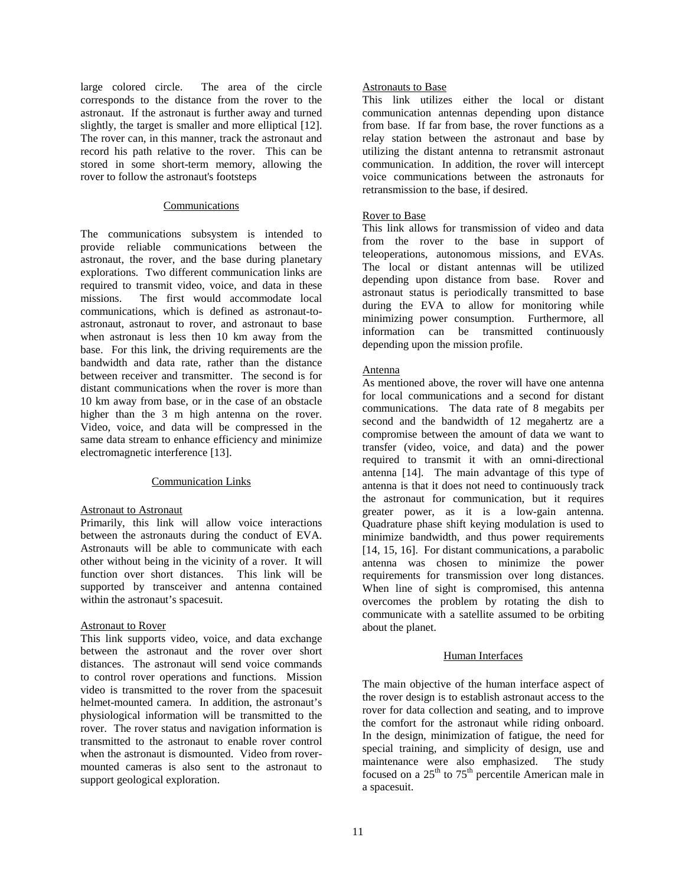large colored circle. The area of the circle corresponds to the distance from the rover to the astronaut. If the astronaut is further away and turned slightly, the target is smaller and more elliptical [12]. The rover can, in this manner, track the astronaut and record his path relative to the rover. This can be stored in some short-term memory, allowing the rover to follow the astronaut's footsteps

### Communications

The communications subsystem is intended to provide reliable communications between the astronaut, the rover, and the base during planetary explorations. Two different communication links are required to transmit video, voice, and data in these missions. The first would accommodate local communications, which is defined as astronaut-toastronaut, astronaut to rover, and astronaut to base when astronaut is less then 10 km away from the base. For this link, the driving requirements are the bandwidth and data rate, rather than the distance between receiver and transmitter. The second is for distant communications when the rover is more than 10 km away from base, or in the case of an obstacle higher than the 3 m high antenna on the rover. Video, voice, and data will be compressed in the same data stream to enhance efficiency and minimize electromagnetic interference [13].

## Communication Links

#### Astronaut to Astronaut

Primarily, this link will allow voice interactions between the astronauts during the conduct of EVA. Astronauts will be able to communicate with each other without being in the vicinity of a rover. It will function over short distances. This link will be supported by transceiver and antenna contained within the astronaut's spacesuit.

## Astronaut to Rover

This link supports video, voice, and data exchange between the astronaut and the rover over short distances. The astronaut will send voice commands to control rover operations and functions. Mission video is transmitted to the rover from the spacesuit helmet-mounted camera. In addition, the astronaut's physiological information will be transmitted to the rover. The rover status and navigation information is transmitted to the astronaut to enable rover control when the astronaut is dismounted. Video from rovermounted cameras is also sent to the astronaut to support geological exploration.

## Astronauts to Base

This link utilizes either the local or distant communication antennas depending upon distance from base. If far from base, the rover functions as a relay station between the astronaut and base by utilizing the distant antenna to retransmit astronaut communication. In addition, the rover will intercept voice communications between the astronauts for retransmission to the base, if desired.

### Rover to Base

This link allows for transmission of video and data from the rover to the base in support of teleoperations, autonomous missions, and EVAs. The local or distant antennas will be utilized depending upon distance from base. Rover and astronaut status is periodically transmitted to base during the EVA to allow for monitoring while minimizing power consumption. Furthermore, all information can be transmitted continuously depending upon the mission profile.

## Antenna

As mentioned above, the rover will have one antenna for local communications and a second for distant communications. The data rate of 8 megabits per second and the bandwidth of 12 megahertz are a compromise between the amount of data we want to transfer (video, voice, and data) and the power required to transmit it with an omni-directional antenna [14]. The main advantage of this type of antenna is that it does not need to continuously track the astronaut for communication, but it requires greater power, as it is a low-gain antenna. Quadrature phase shift keying modulation is used to minimize bandwidth, and thus power requirements [14, 15, 16]. For distant communications, a parabolic antenna was chosen to minimize the power requirements for transmission over long distances. When line of sight is compromised, this antenna overcomes the problem by rotating the dish to communicate with a satellite assumed to be orbiting about the planet.

#### Human Interfaces

The main objective of the human interface aspect of the rover design is to establish astronaut access to the rover for data collection and seating, and to improve the comfort for the astronaut while riding onboard. In the design, minimization of fatigue, the need for special training, and simplicity of design, use and maintenance were also emphasized. The study focused on a  $25<sup>th</sup>$  to  $75<sup>th</sup>$  percentile American male in a spacesuit.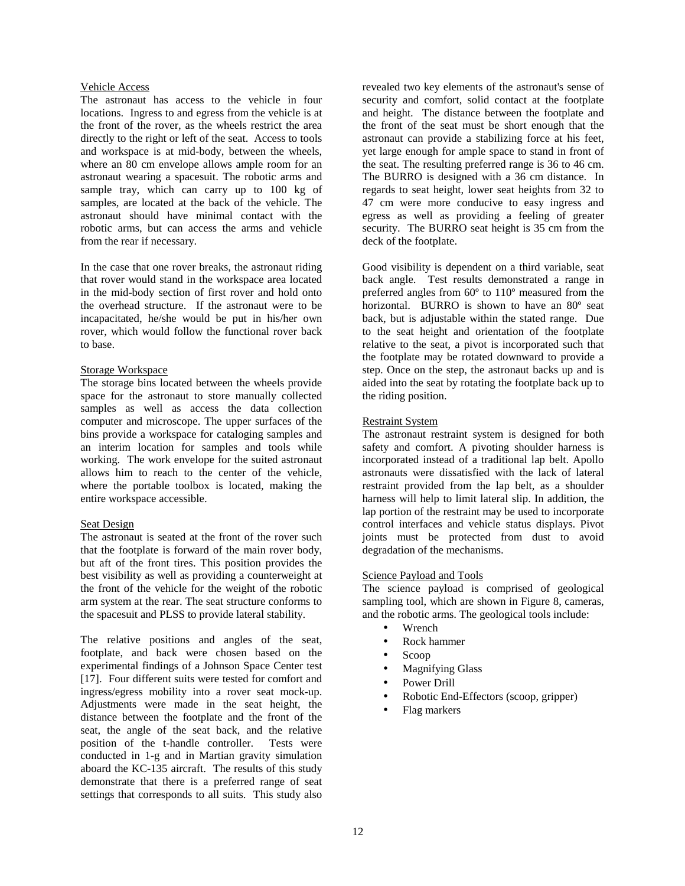## Vehicle Access

The astronaut has access to the vehicle in four locations. Ingress to and egress from the vehicle is at the front of the rover, as the wheels restrict the area directly to the right or left of the seat. Access to tools and workspace is at mid-body, between the wheels, where an 80 cm envelope allows ample room for an astronaut wearing a spacesuit. The robotic arms and sample tray, which can carry up to 100 kg of samples, are located at the back of the vehicle. The astronaut should have minimal contact with the robotic arms, but can access the arms and vehicle from the rear if necessary.

In the case that one rover breaks, the astronaut riding that rover would stand in the workspace area located in the mid-body section of first rover and hold onto the overhead structure. If the astronaut were to be incapacitated, he/she would be put in his/her own rover, which would follow the functional rover back to base.

## Storage Workspace

The storage bins located between the wheels provide space for the astronaut to store manually collected samples as well as access the data collection computer and microscope. The upper surfaces of the bins provide a workspace for cataloging samples and an interim location for samples and tools while working. The work envelope for the suited astronaut allows him to reach to the center of the vehicle, where the portable toolbox is located, making the entire workspace accessible.

## Seat Design

The astronaut is seated at the front of the rover such that the footplate is forward of the main rover body, but aft of the front tires. This position provides the best visibility as well as providing a counterweight at the front of the vehicle for the weight of the robotic arm system at the rear. The seat structure conforms to the spacesuit and PLSS to provide lateral stability.

The relative positions and angles of the seat, footplate, and back were chosen based on the experimental findings of a Johnson Space Center test [17]. Four different suits were tested for comfort and ingress/egress mobility into a rover seat mock-up. Adjustments were made in the seat height, the distance between the footplate and the front of the seat, the angle of the seat back, and the relative position of the t-handle controller. Tests were conducted in 1-g and in Martian gravity simulation aboard the KC-135 aircraft. The results of this study demonstrate that there is a preferred range of seat settings that corresponds to all suits. This study also

revealed two key elements of the astronaut's sense of security and comfort, solid contact at the footplate and height. The distance between the footplate and the front of the seat must be short enough that the astronaut can provide a stabilizing force at his feet, yet large enough for ample space to stand in front of the seat. The resulting preferred range is 36 to 46 cm. The BURRO is designed with a 36 cm distance. In regards to seat height, lower seat heights from 32 to 47 cm were more conducive to easy ingress and egress as well as providing a feeling of greater security. The BURRO seat height is 35 cm from the deck of the footplate.

Good visibility is dependent on a third variable, seat back angle. Test results demonstrated a range in preferred angles from 60º to 110º measured from the horizontal. BURRO is shown to have an 80º seat back, but is adjustable within the stated range. Due to the seat height and orientation of the footplate relative to the seat, a pivot is incorporated such that the footplate may be rotated downward to provide a step. Once on the step, the astronaut backs up and is aided into the seat by rotating the footplate back up to the riding position.

## Restraint System

The astronaut restraint system is designed for both safety and comfort. A pivoting shoulder harness is incorporated instead of a traditional lap belt. Apollo astronauts were dissatisfied with the lack of lateral restraint provided from the lap belt, as a shoulder harness will help to limit lateral slip. In addition, the lap portion of the restraint may be used to incorporate control interfaces and vehicle status displays. Pivot joints must be protected from dust to avoid degradation of the mechanisms.

## Science Payload and Tools

The science payload is comprised of geological sampling tool, which are shown in Figure 8, cameras, and the robotic arms. The geological tools include:

- Wrench
- Rock hammer
- Scoop
- Magnifying Glass
- Power Drill
- Robotic End-Effectors (scoop, gripper)
- Flag markers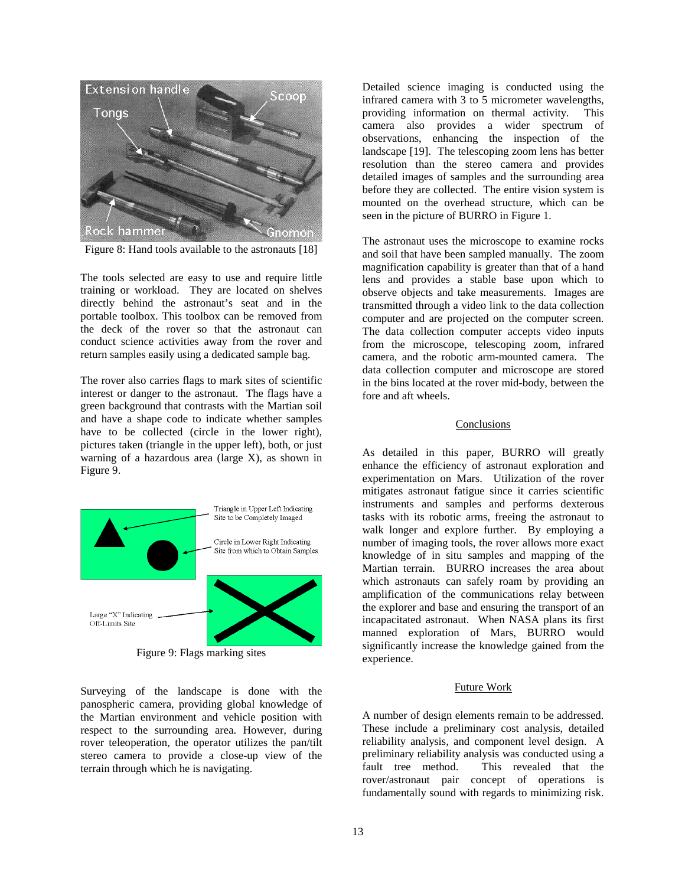

Figure 8: Hand tools available to the astronauts [18]

The tools selected are easy to use and require little training or workload. They are located on shelves directly behind the astronaut's seat and in the portable toolbox. This toolbox can be removed from the deck of the rover so that the astronaut can conduct science activities away from the rover and return samples easily using a dedicated sample bag.

The rover also carries flags to mark sites of scientific interest or danger to the astronaut. The flags have a green background that contrasts with the Martian soil and have a shape code to indicate whether samples have to be collected (circle in the lower right), pictures taken (triangle in the upper left), both, or just warning of a hazardous area (large X), as shown in Figure 9.



Figure 9: Flags marking sites

Surveying of the landscape is done with the panospheric camera, providing global knowledge of the Martian environment and vehicle position with respect to the surrounding area. However, during rover teleoperation, the operator utilizes the pan/tilt stereo camera to provide a close-up view of the terrain through which he is navigating.

Detailed science imaging is conducted using the infrared camera with 3 to 5 micrometer wavelengths, providing information on thermal activity. This camera also provides a wider spectrum of observations, enhancing the inspection of the landscape [19]. The telescoping zoom lens has better resolution than the stereo camera and provides detailed images of samples and the surrounding area before they are collected. The entire vision system is mounted on the overhead structure, which can be seen in the picture of BURRO in Figure 1.

The astronaut uses the microscope to examine rocks and soil that have been sampled manually. The zoom magnification capability is greater than that of a hand lens and provides a stable base upon which to observe objects and take measurements. Images are transmitted through a video link to the data collection computer and are projected on the computer screen. The data collection computer accepts video inputs from the microscope, telescoping zoom, infrared camera, and the robotic arm-mounted camera. The data collection computer and microscope are stored in the bins located at the rover mid-body, between the fore and aft wheels.

### Conclusions

As detailed in this paper, BURRO will greatly enhance the efficiency of astronaut exploration and experimentation on Mars. Utilization of the rover mitigates astronaut fatigue since it carries scientific instruments and samples and performs dexterous tasks with its robotic arms, freeing the astronaut to walk longer and explore further. By employing a number of imaging tools, the rover allows more exact knowledge of in situ samples and mapping of the Martian terrain. BURRO increases the area about which astronauts can safely roam by providing an amplification of the communications relay between the explorer and base and ensuring the transport of an incapacitated astronaut. When NASA plans its first manned exploration of Mars, BURRO would significantly increase the knowledge gained from the experience.

#### Future Work

A number of design elements remain to be addressed. These include a preliminary cost analysis, detailed reliability analysis, and component level design. A preliminary reliability analysis was conducted using a fault tree method. This revealed that the rover/astronaut pair concept of operations is fundamentally sound with regards to minimizing risk.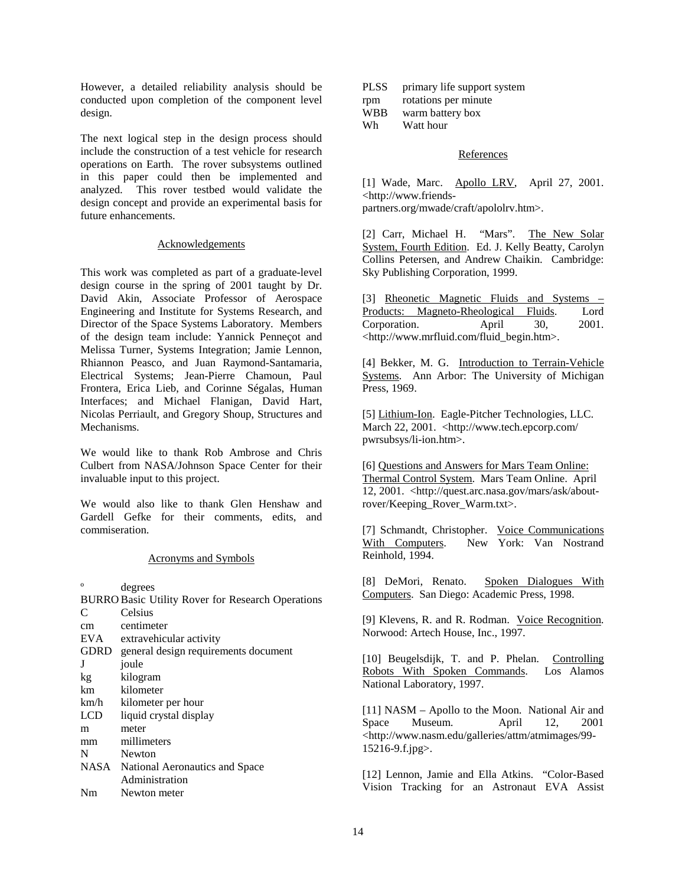However, a detailed reliability analysis should be conducted upon completion of the component level design.

The next logical step in the design process should include the construction of a test vehicle for research operations on Earth. The rover subsystems outlined in this paper could then be implemented and analyzed. This rover testbed would validate the design concept and provide an experimental basis for future enhancements.

#### Acknowledgements

This work was completed as part of a graduate-level design course in the spring of 2001 taught by Dr. David Akin, Associate Professor of Aerospace Engineering and Institute for Systems Research, and Director of the Space Systems Laboratory. Members of the design team include: Yannick Penneçot and Melissa Turner, Systems Integration; Jamie Lennon, Rhiannon Peasco, and Juan Raymond-Santamaria, Electrical Systems; Jean-Pierre Chamoun, Paul Frontera, Erica Lieb, and Corinne Ségalas, Human Interfaces; and Michael Flanigan, David Hart, Nicolas Perriault, and Gregory Shoup, Structures and Mechanisms.

We would like to thank Rob Ambrose and Chris Culbert from NASA/Johnson Space Center for their invaluable input to this project.

We would also like to thank Glen Henshaw and Gardell Gefke for their comments, edits, and commiseration.

## Acronyms and Symbols

º degrees

|            | <b>BURRO Basic Utility Rover for Research Operations</b> |
|------------|----------------------------------------------------------|
| C          | Celsius                                                  |
| cm         | centimeter                                               |
| EVA        | extravehicular activity                                  |
|            | GDRD general design requirements document                |
| J          | joule                                                    |
| kg         | kilogram                                                 |
| km         | kilometer                                                |
| km/h       | kilometer per hour                                       |
| <b>LCD</b> | liquid crystal display                                   |
| m          | meter                                                    |
| mm         | millimeters                                              |
| N          | Newton                                                   |
|            | NASA National Aeronautics and Space                      |
|            | Administration                                           |
| Nm         | Newton meter                                             |

| <b>PLSS</b> | primary life support system |
|-------------|-----------------------------|
| rpm         | rotations per minute        |
| <b>WBB</b>  | warm battery box            |
| Wh          | Watt hour                   |

### References

[1] Wade, Marc. Apollo LRV, April 27, 2001. <http://www.friendspartners.org/mwade/craft/apololrv.htm>.

[2] Carr, Michael H. "Mars". The New Solar System, Fourth Edition. Ed. J. Kelly Beatty, Carolyn Collins Petersen, and Andrew Chaikin. Cambridge: Sky Publishing Corporation, 1999.

[3] Rheonetic Magnetic Fluids and Systems – Products: Magneto-Rheological Fluids. Lord Corporation. April 30, 2001. <http://www.mrfluid.com/fluid\_begin.htm>.

[4] Bekker, M. G. Introduction to Terrain-Vehicle Systems. Ann Arbor: The University of Michigan Press, 1969.

[5] Lithium-Ion. Eagle-Pitcher Technologies, LLC. March 22, 2001. <http://www.tech.epcorp.com/ pwrsubsys/li-ion.htm>.

[6] Questions and Answers for Mars Team Online: Thermal Control System. Mars Team Online. April 12, 2001. <http://quest.arc.nasa.gov/mars/ask/aboutrover/Keeping\_Rover\_Warm.txt>.

[7] Schmandt, Christopher. Voice Communications<br>With Computers. New York: Van Nostrand New York: Van Nostrand Reinhold, 1994.

[8] DeMori, Renato. Spoken Dialogues With Computers. San Diego: Academic Press, 1998.

[9] Klevens, R. and R. Rodman. Voice Recognition. Norwood: Artech House, Inc., 1997.

[10] Beugelsdijk, T. and P. Phelan. Controlling Robots With Spoken Commands. Los Alamos National Laboratory, 1997.

[11] NASM – Apollo to the Moon. National Air and Space Museum. April 12, 2001 <http://www.nasm.edu/galleries/attm/atmimages/99- 15216-9.f.jpg>.

[12] Lennon, Jamie and Ella Atkins. "Color-Based Vision Tracking for an Astronaut EVA Assist